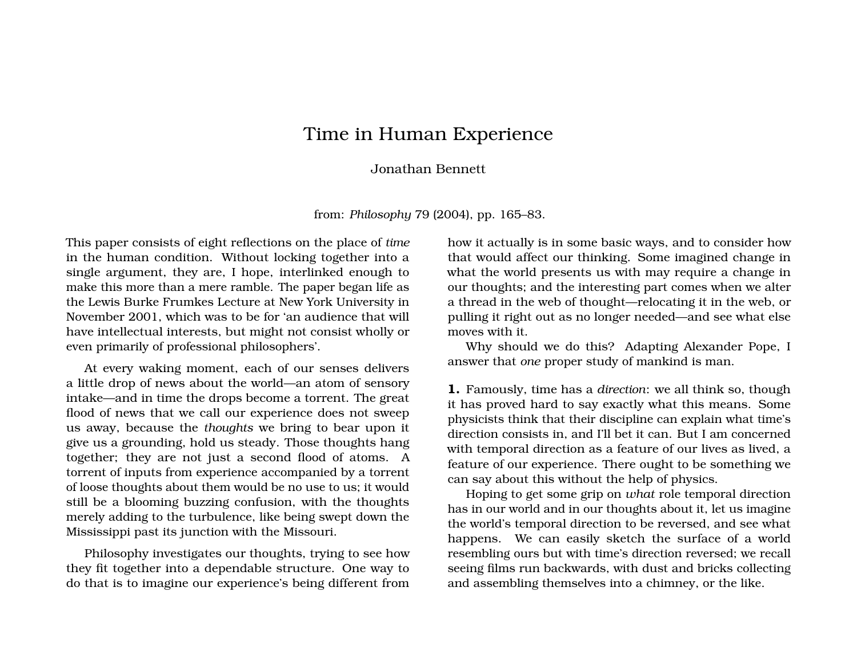## Time in Human Experience

## Jonathan Bennett

from: *Philosophy* 79 (2004), pp. 165–83.

This paper consists of eight reflections on the place of *time* in the human condition. Without locking together into a single argument, they are, I hope, interlinked enough to make this more than a mere ramble. The paper began life as the Lewis Burke Frumkes Lecture at New York University in November 2001, which was to be for 'an audience that will have intellectual interests, but might not consist wholly or even primarily of professional philosophers'.

At every waking moment, each of our senses delivers a little drop of news about the world—an atom of sensory intake—and in time the drops become a torrent. The great flood of news that we call our experience does not sweep us away, because the *thoughts* we bring to bear upon it give us a grounding, hold us steady. Those thoughts hang together; they are not just a second flood of atoms. A torrent of inputs from experience accompanied by a torrent of loose thoughts about them would be no use to us; it would still be a blooming buzzing confusion, with the thoughts merely adding to the turbulence, like being swept down the Mississippi past its junction with the Missouri.

Philosophy investigates our thoughts, trying to see how they fit together into a dependable structure. One way to do that is to imagine our experience's being different from how it actually is in some basic ways, and to consider how that would affect our thinking. Some imagined change in what the world presents us with may require a change in our thoughts; and the interesting part comes when we alter a thread in the web of thought—relocating it in the web, or pulling it right out as no longer needed—and see what else moves with it.

Why should we do this? Adapting Alexander Pope, I answer that *one* proper study of mankind is man.

**1.** Famously, time has a *direction*: we all think so, though it has proved hard to say exactly what this means. Some physicists think that their discipline can explain what time's direction consists in, and I'll bet it can. But I am concerned with temporal direction as a feature of our lives as lived, a feature of our experience. There ought to be something we can say about this without the help of physics.

Hoping to get some grip on *what* role temporal direction has in our world and in our thoughts about it, let us imagine the world's temporal direction to be reversed, and see what happens. We can easily sketch the surface of a world resembling ours but with time's direction reversed; we recall seeing films run backwards, with dust and bricks collecting and assembling themselves into a chimney, or the like.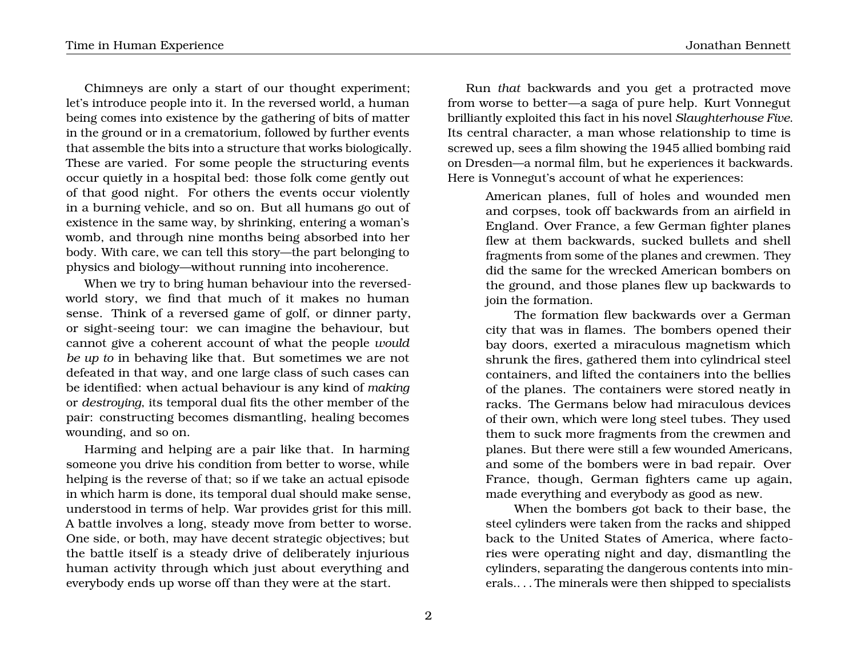Chimneys are only a start of our thought experiment; let's introduce people into it. In the reversed world, a human being comes into existence by the gathering of bits of matter in the ground or in a crematorium, followed by further events that assemble the bits into a structure that works biologically. These are varied. For some people the structuring events occur quietly in a hospital bed: those folk come gently out of that good night. For others the events occur violently in a burning vehicle, and so on. But all humans go out of existence in the same way, by shrinking, entering a woman's womb, and through nine months being absorbed into her body. With care, we can tell this story—the part belonging to physics and biology—without running into incoherence.

When we try to bring human behaviour into the reversedworld story, we find that much of it makes no human sense. Think of a reversed game of golf, or dinner party, or sight-seeing tour: we can imagine the behaviour, but cannot give a coherent account of what the people *would be up to* in behaving like that. But sometimes we are not defeated in that way, and one large class of such cases can be identified: when actual behaviour is any kind of *making* or *destroying*, its temporal dual fits the other member of the pair: constructing becomes dismantling, healing becomes wounding, and so on.

Harming and helping are a pair like that. In harming someone you drive his condition from better to worse, while helping is the reverse of that; so if we take an actual episode in which harm is done, its temporal dual should make sense, understood in terms of help. War provides grist for this mill. A battle involves a long, steady move from better to worse. One side, or both, may have decent strategic objectives; but the battle itself is a steady drive of deliberately injurious human activity through which just about everything and everybody ends up worse off than they were at the start.

Run *that* backwards and you get a protracted move from worse to better—a saga of pure help. Kurt Vonnegut brilliantly exploited this fact in his novel *Slaughterhouse Five*. Its central character, a man whose relationship to time is screwed up, sees a film showing the 1945 allied bombing raid on Dresden—a normal film, but he experiences it backwards. Here is Vonnegut's account of what he experiences:

> American planes, full of holes and wounded men and corpses, took off backwards from an airfield in England. Over France, a few German fighter planes flew at them backwards, sucked bullets and shell fragments from some of the planes and crewmen. They did the same for the wrecked American bombers on the ground, and those planes flew up backwards to join the formation.

> The formation flew backwards over a German city that was in flames. The bombers opened their bay doors, exerted a miraculous magnetism which shrunk the fires, gathered them into cylindrical steel containers, and lifted the containers into the bellies of the planes. The containers were stored neatly in racks. The Germans below had miraculous devices of their own, which were long steel tubes. They used them to suck more fragments from the crewmen and planes. But there were still a few wounded Americans, and some of the bombers were in bad repair. Over France, though, German fighters came up again, made everything and everybody as good as new.

> When the bombers got back to their base, the steel cylinders were taken from the racks and shipped back to the United States of America, where factories were operating night and day, dismantling the cylinders, separating the dangerous contents into minerals.. . . The minerals were then shipped to specialists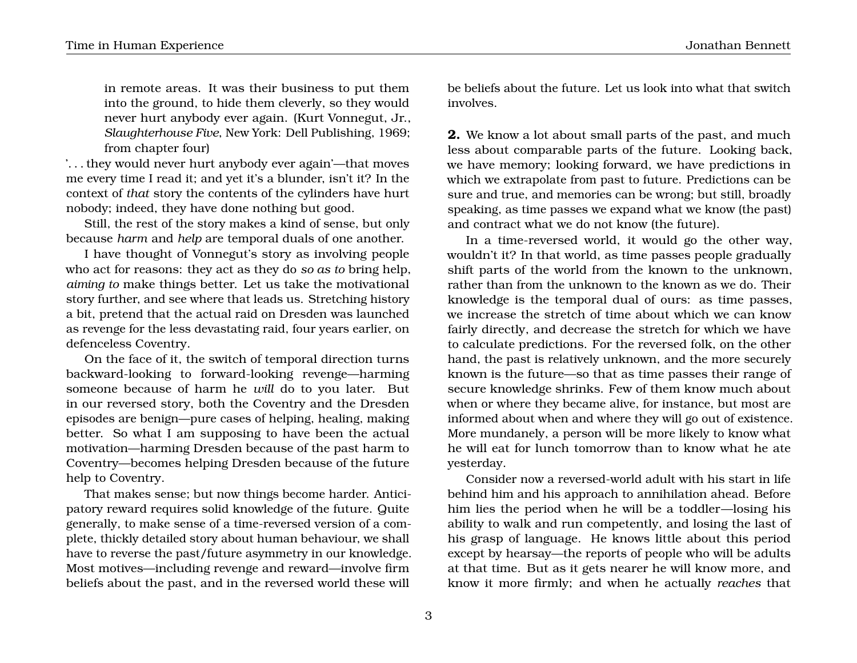in remote areas. It was their business to put them into the ground, to hide them cleverly, so they would never hurt anybody ever again. (Kurt Vonnegut, Jr., *Slaughterhouse Five*, New York: Dell Publishing, 1969; from chapter four)

'. . . they would never hurt anybody ever again'—that moves me every time I read it; and yet it's a blunder, isn't it? In the context of *that* story the contents of the cylinders have hurt nobody; indeed, they have done nothing but good.

Still, the rest of the story makes a kind of sense, but only because *harm* and *help* are temporal duals of one another.

I have thought of Vonnegut's story as involving people who act for reasons: they act as they do *so as to* bring help, *aiming to* make things better. Let us take the motivational story further, and see where that leads us. Stretching history a bit, pretend that the actual raid on Dresden was launched as revenge for the less devastating raid, four years earlier, on defenceless Coventry.

On the face of it, the switch of temporal direction turns backward-looking to forward-looking revenge—harming someone because of harm he *will* do to you later. But in our reversed story, both the Coventry and the Dresden episodes are benign—pure cases of helping, healing, making better. So what I am supposing to have been the actual motivation—harming Dresden because of the past harm to Coventry—becomes helping Dresden because of the future help to Coventry.

That makes sense; but now things become harder. Anticipatory reward requires solid knowledge of the future. Quite generally, to make sense of a time-reversed version of a complete, thickly detailed story about human behaviour, we shall have to reverse the past/future asymmetry in our knowledge. Most motives—including revenge and reward—involve firm beliefs about the past, and in the reversed world these will

be beliefs about the future. Let us look into what that switch involves.

**2.** We know a lot about small parts of the past, and much less about comparable parts of the future. Looking back, we have memory; looking forward, we have predictions in which we extrapolate from past to future. Predictions can be sure and true, and memories can be wrong; but still, broadly speaking, as time passes we expand what we know (the past) and contract what we do not know (the future).

In a time-reversed world, it would go the other way, wouldn't it? In that world, as time passes people gradually shift parts of the world from the known to the unknown, rather than from the unknown to the known as we do. Their knowledge is the temporal dual of ours: as time passes, we increase the stretch of time about which we can know fairly directly, and decrease the stretch for which we have to calculate predictions. For the reversed folk, on the other hand, the past is relatively unknown, and the more securely known is the future—so that as time passes their range of secure knowledge shrinks. Few of them know much about when or where they became alive, for instance, but most are informed about when and where they will go out of existence. More mundanely, a person will be more likely to know what he will eat for lunch tomorrow than to know what he ate yesterday.

Consider now a reversed-world adult with his start in life behind him and his approach to annihilation ahead. Before him lies the period when he will be a toddler—losing his ability to walk and run competently, and losing the last of his grasp of language. He knows little about this period except by hearsay—the reports of people who will be adults at that time. But as it gets nearer he will know more, and know it more firmly; and when he actually *reaches* that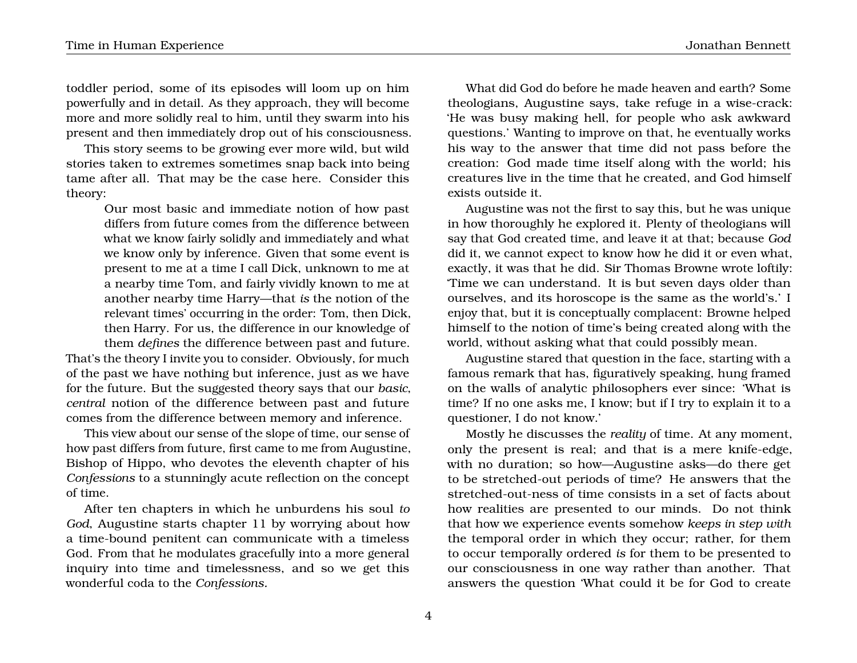toddler period, some of its episodes will loom up on him powerfully and in detail. As they approach, they will become more and more solidly real to him, until they swarm into his present and then immediately drop out of his consciousness.

This story seems to be growing ever more wild, but wild stories taken to extremes sometimes snap back into being tame after all. That may be the case here. Consider this theory:

> Our most basic and immediate notion of how past differs from future comes from the difference between what we know fairly solidly and immediately and what we know only by inference. Given that some event is present to me at a time I call Dick, unknown to me at a nearby time Tom, and fairly vividly known to me at another nearby time Harry—that *is* the notion of the relevant times' occurring in the order: Tom, then Dick, then Harry. For us, the difference in our knowledge of them *defines* the difference between past and future.

That's the theory I invite you to consider. Obviously, for much of the past we have nothing but inference, just as we have for the future. But the suggested theory says that our *basic*, *central* notion of the difference between past and future comes from the difference between memory and inference.

This view about our sense of the slope of time, our sense of how past differs from future, first came to me from Augustine, Bishop of Hippo, who devotes the eleventh chapter of his *Confessions* to a stunningly acute reflection on the concept of time.

After ten chapters in which he unburdens his soul *to God*, Augustine starts chapter 11 by worrying about how a time-bound penitent can communicate with a timeless God. From that he modulates gracefully into a more general inquiry into time and timelessness, and so we get this wonderful coda to the *Confessions.*

What did God do before he made heaven and earth? Some theologians, Augustine says, take refuge in a wise-crack: 'He was busy making hell, for people who ask awkward questions.' Wanting to improve on that, he eventually works his way to the answer that time did not pass before the creation: God made time itself along with the world; his creatures live in the time that he created, and God himself exists outside it.

Augustine was not the first to say this, but he was unique in how thoroughly he explored it. Plenty of theologians will say that God created time, and leave it at that; because *God* did it, we cannot expect to know how he did it or even what, exactly, it was that he did. Sir Thomas Browne wrote loftily: 'Time we can understand. It is but seven days older than ourselves, and its horoscope is the same as the world's.' I enjoy that, but it is conceptually complacent: Browne helped himself to the notion of time's being created along with the world, without asking what that could possibly mean.

Augustine stared that question in the face, starting with a famous remark that has, figuratively speaking, hung framed on the walls of analytic philosophers ever since: 'What is time? If no one asks me, I know; but if I try to explain it to a questioner, I do not know.'

Mostly he discusses the *reality* of time. At any moment, only the present is real; and that is a mere knife-edge, with no duration; so how—Augustine asks—do there get to be stretched-out periods of time? He answers that the stretched-out-ness of time consists in a set of facts about how realities are presented to our minds. Do not think that how we experience events somehow *keeps in step with* the temporal order in which they occur; rather, for them to occur temporally ordered *is* for them to be presented to our consciousness in one way rather than another. That answers the question 'What could it be for God to create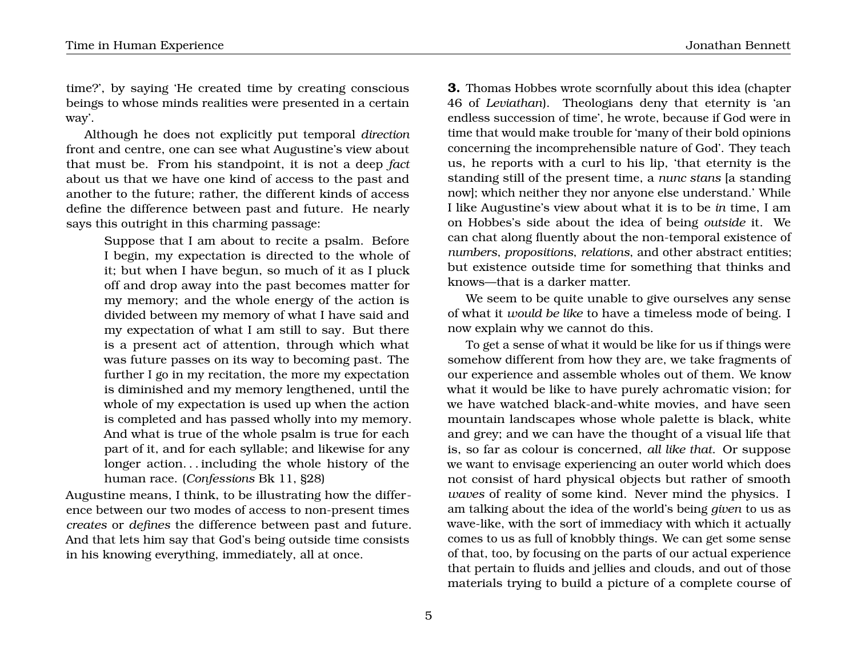time?', by saying 'He created time by creating conscious beings to whose minds realities were presented in a certain way'.

Although he does not explicitly put temporal *direction* front and centre, one can see what Augustine's view about that must be. From his standpoint, it is not a deep *fact* about us that we have one kind of access to the past and another to the future; rather, the different kinds of access define the difference between past and future. He nearly says this outright in this charming passage:

> Suppose that I am about to recite a psalm. Before I begin, my expectation is directed to the whole of it; but when I have begun, so much of it as I pluck off and drop away into the past becomes matter for my memory; and the whole energy of the action is divided between my memory of what I have said and my expectation of what I am still to say. But there is a present act of attention, through which what was future passes on its way to becoming past. The further I go in my recitation, the more my expectation is diminished and my memory lengthened, until the whole of my expectation is used up when the action is completed and has passed wholly into my memory. And what is true of the whole psalm is true for each part of it, and for each syllable; and likewise for any longer action. . . including the whole history of the human race. (*Confessions* Bk 11, §28)

Augustine means, I think, to be illustrating how the difference between our two modes of access to non-present times *creates* or *defines* the difference between past and future. And that lets him say that God's being outside time consists in his knowing everything, immediately, all at once.

**3.** Thomas Hobbes wrote scornfully about this idea (chapter 46 of *Leviathan*). Theologians deny that eternity is 'an endless succession of time', he wrote, because if God were in time that would make trouble for 'many of their bold opinions concerning the incomprehensible nature of God'. They teach us, he reports with a curl to his lip, 'that eternity is the standing still of the present time, a *nunc stans* [a standing now]; which neither they nor anyone else understand.' While I like Augustine's view about what it is to be *in* time, I am on Hobbes's side about the idea of being *outside* it. We can chat along fluently about the non-temporal existence of *numbers*, *propositions*, *relations*, and other abstract entities; but existence outside time for something that thinks and knows—that is a darker matter.

We seem to be quite unable to give ourselves any sense of what it *would be like* to have a timeless mode of being. I now explain why we cannot do this.

To get a sense of what it would be like for us if things were somehow different from how they are, we take fragments of our experience and assemble wholes out of them. We know what it would be like to have purely achromatic vision; for we have watched black-and-white movies, and have seen mountain landscapes whose whole palette is black, white and grey; and we can have the thought of a visual life that is, so far as colour is concerned, *all like that*. Or suppose we want to envisage experiencing an outer world which does not consist of hard physical objects but rather of smooth *waves* of reality of some kind. Never mind the physics. I am talking about the idea of the world's being *given* to us as wave-like, with the sort of immediacy with which it actually comes to us as full of knobbly things. We can get some sense of that, too, by focusing on the parts of our actual experience that pertain to fluids and jellies and clouds, and out of those materials trying to build a picture of a complete course of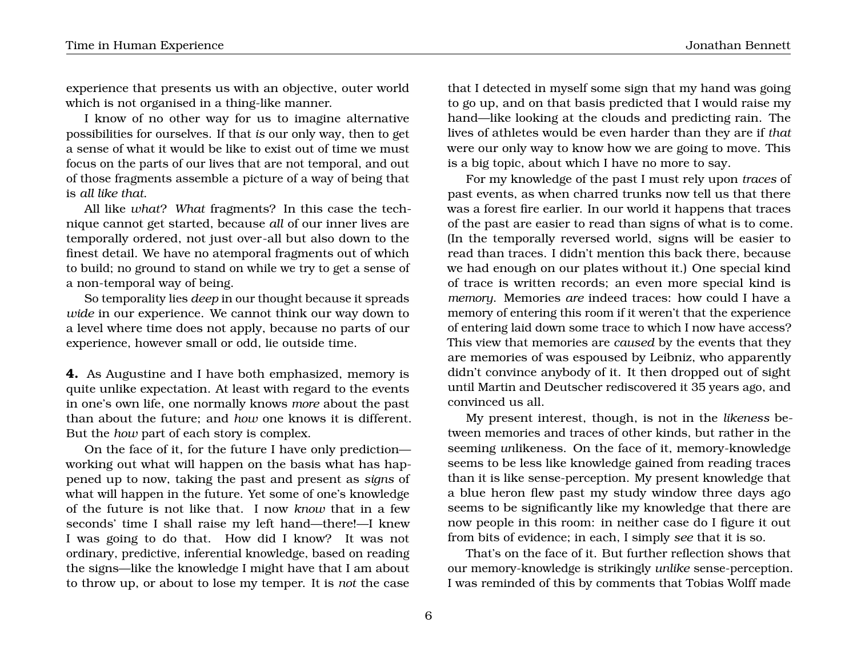experience that presents us with an objective, outer world which is not organised in a thing-like manner.

I know of no other way for us to imagine alternative possibilities for ourselves. If that *is* our only way, then to get a sense of what it would be like to exist out of time we must focus on the parts of our lives that are not temporal, and out of those fragments assemble a picture of a way of being that is *all like that*.

All like *what*? *What* fragments? In this case the technique cannot get started, because *all* of our inner lives are temporally ordered, not just over-all but also down to the finest detail. We have no atemporal fragments out of which to build; no ground to stand on while we try to get a sense of a non-temporal way of being.

So temporality lies *deep* in our thought because it spreads *wide* in our experience. We cannot think our way down to a level where time does not apply, because no parts of our experience, however small or odd, lie outside time.

**4.** As Augustine and I have both emphasized, memory is quite unlike expectation. At least with regard to the events in one's own life, one normally knows *more* about the past than about the future; and *how* one knows it is different. But the *how* part of each story is complex.

On the face of it, for the future I have only prediction working out what will happen on the basis what has happened up to now, taking the past and present as *signs* of what will happen in the future. Yet some of one's knowledge of the future is not like that. I now *know* that in a few seconds' time I shall raise my left hand—there!—I knew I was going to do that. How did I know? It was not ordinary, predictive, inferential knowledge, based on reading the signs—like the knowledge I might have that I am about to throw up, or about to lose my temper. It is *not* the case

that I detected in myself some sign that my hand was going to go up, and on that basis predicted that I would raise my hand—like looking at the clouds and predicting rain. The lives of athletes would be even harder than they are if *that* were our only way to know how we are going to move. This is a big topic, about which I have no more to say.

For my knowledge of the past I must rely upon *traces* of past events, as when charred trunks now tell us that there was a forest fire earlier. In our world it happens that traces of the past are easier to read than signs of what is to come. (In the temporally reversed world, signs will be easier to read than traces. I didn't mention this back there, because we had enough on our plates without it.) One special kind of trace is written records; an even more special kind is *memory*. Memories *are* indeed traces: how could I have a memory of entering this room if it weren't that the experience of entering laid down some trace to which I now have access? This view that memories are *caused* by the events that they are memories of was espoused by Leibniz, who apparently didn't convince anybody of it. It then dropped out of sight until Martin and Deutscher rediscovered it 35 years ago, and convinced us all.

My present interest, though, is not in the *likeness* between memories and traces of other kinds, but rather in the seeming *un*likeness. On the face of it, memory-knowledge seems to be less like knowledge gained from reading traces than it is like sense-perception. My present knowledge that a blue heron flew past my study window three days ago seems to be significantly like my knowledge that there are now people in this room: in neither case do I figure it out from bits of evidence; in each, I simply *see* that it is so.

That's on the face of it. But further reflection shows that our memory-knowledge is strikingly *unlike* sense-perception. I was reminded of this by comments that Tobias Wolff made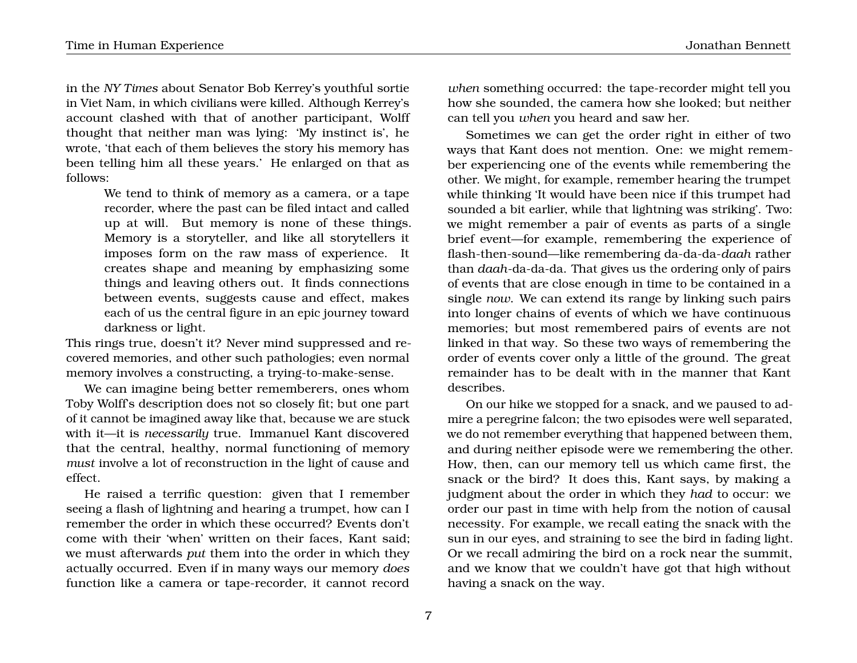in the *NY Times* about Senator Bob Kerrey's youthful sortie in Viet Nam, in which civilians were killed. Although Kerrey's account clashed with that of another participant, Wolff thought that neither man was lying: 'My instinct is', he wrote, 'that each of them believes the story his memory has been telling him all these years.' He enlarged on that as follows:

> We tend to think of memory as a camera, or a tape recorder, where the past can be filed intact and called up at will. But memory is none of these things. Memory is a storyteller, and like all storytellers it imposes form on the raw mass of experience. It creates shape and meaning by emphasizing some things and leaving others out. It finds connections between events, suggests cause and effect, makes each of us the central figure in an epic journey toward darkness or light.

This rings true, doesn't it? Never mind suppressed and recovered memories, and other such pathologies; even normal memory involves a constructing, a trying-to-make-sense.

We can imagine being better rememberers, ones whom Toby Wolff's description does not so closely fit; but one part of it cannot be imagined away like that, because we are stuck with it—it is *necessarily* true. Immanuel Kant discovered that the central, healthy, normal functioning of memory *must* involve a lot of reconstruction in the light of cause and effect.

He raised a terrific question: given that I remember seeing a flash of lightning and hearing a trumpet, how can I remember the order in which these occurred? Events don't come with their 'when' written on their faces, Kant said; we must afterwards *put* them into the order in which they actually occurred. Even if in many ways our memory *does* function like a camera or tape-recorder, it cannot record

*when* something occurred: the tape-recorder might tell you how she sounded, the camera how she looked; but neither can tell you *when* you heard and saw her.

Sometimes we can get the order right in either of two ways that Kant does not mention. One: we might remember experiencing one of the events while remembering the other. We might, for example, remember hearing the trumpet while thinking 'It would have been nice if this trumpet had sounded a bit earlier, while that lightning was striking'. Two: we might remember a pair of events as parts of a single brief event—for example, remembering the experience of flash-then-sound—like remembering da-da-da-*daah* rather than *daah*-da-da-da. That gives us the ordering only of pairs of events that are close enough in time to be contained in a single *now*. We can extend its range by linking such pairs into longer chains of events of which we have continuous memories; but most remembered pairs of events are not linked in that way. So these two ways of remembering the order of events cover only a little of the ground. The great remainder has to be dealt with in the manner that Kant describes.

On our hike we stopped for a snack, and we paused to admire a peregrine falcon; the two episodes were well separated, we do not remember everything that happened between them, and during neither episode were we remembering the other. How, then, can our memory tell us which came first, the snack or the bird? It does this, Kant says, by making a judgment about the order in which they *had* to occur: we order our past in time with help from the notion of causal necessity. For example, we recall eating the snack with the sun in our eyes, and straining to see the bird in fading light. Or we recall admiring the bird on a rock near the summit, and we know that we couldn't have got that high without having a snack on the way.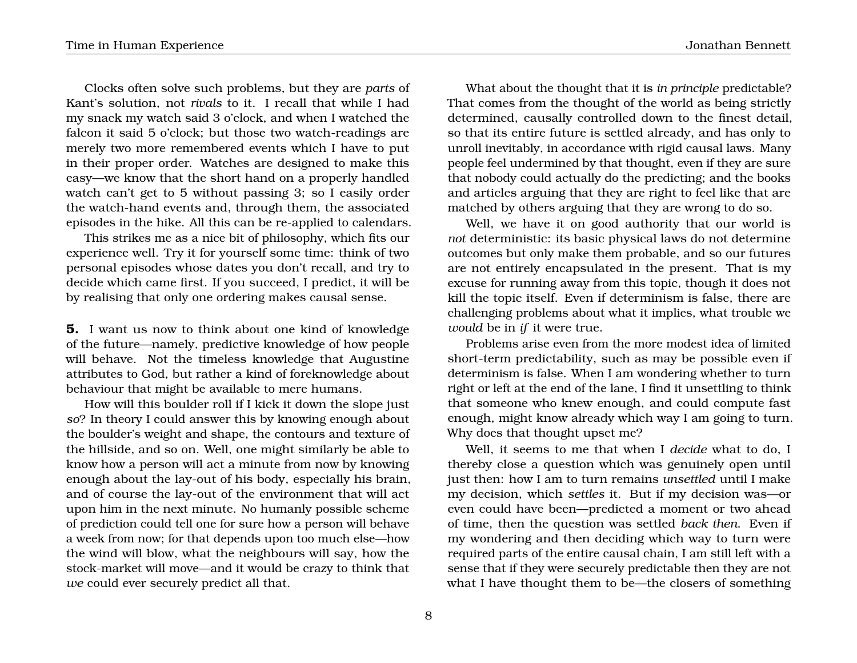Clocks often solve such problems, but they are *parts* of Kant's solution, not *rivals* to it. I recall that while I had my snack my watch said 3 o'clock, and when I watched the falcon it said 5 o'clock; but those two watch-readings are merely two more remembered events which I have to put in their proper order. Watches are designed to make this easy—we know that the short hand on a properly handled watch can't get to 5 without passing 3; so I easily order the watch-hand events and, through them, the associated episodes in the hike. All this can be re-applied to calendars.

This strikes me as a nice bit of philosophy, which fits our experience well. Try it for yourself some time: think of two personal episodes whose dates you don't recall, and try to decide which came first. If you succeed, I predict, it will be by realising that only one ordering makes causal sense.

**5.** I want us now to think about one kind of knowledge of the future—namely, predictive knowledge of how people will behave. Not the timeless knowledge that Augustine attributes to God, but rather a kind of foreknowledge about behaviour that might be available to mere humans.

How will this boulder roll if I kick it down the slope just *so*? In theory I could answer this by knowing enough about the boulder's weight and shape, the contours and texture of the hillside, and so on. Well, one might similarly be able to know how a person will act a minute from now by knowing enough about the lay-out of his body, especially his brain, and of course the lay-out of the environment that will act upon him in the next minute. No humanly possible scheme of prediction could tell one for sure how a person will behave a week from now; for that depends upon too much else—how the wind will blow, what the neighbours will say, how the stock-market will move—and it would be crazy to think that *we* could ever securely predict all that.

What about the thought that it is *in principle* predictable? That comes from the thought of the world as being strictly determined, causally controlled down to the finest detail, so that its entire future is settled already, and has only to unroll inevitably, in accordance with rigid causal laws. Many people feel undermined by that thought, even if they are sure that nobody could actually do the predicting; and the books and articles arguing that they are right to feel like that are matched by others arguing that they are wrong to do so.

Well, we have it on good authority that our world is *not* deterministic: its basic physical laws do not determine outcomes but only make them probable, and so our futures are not entirely encapsulated in the present. That is my excuse for running away from this topic, though it does not kill the topic itself. Even if determinism is false, there are challenging problems about what it implies, what trouble we *would* be in *if* it were true.

Problems arise even from the more modest idea of limited short-term predictability, such as may be possible even if determinism is false. When I am wondering whether to turn right or left at the end of the lane, I find it unsettling to think that someone who knew enough, and could compute fast enough, might know already which way I am going to turn. Why does that thought upset me?

Well, it seems to me that when I *decide* what to do, I thereby close a question which was genuinely open until just then: how I am to turn remains *unsettled* until I make my decision, which *settles* it. But if my decision was—or even could have been—predicted a moment or two ahead of time, then the question was settled *back then*. Even if my wondering and then deciding which way to turn were required parts of the entire causal chain, I am still left with a sense that if they were securely predictable then they are not what I have thought them to be—the closers of something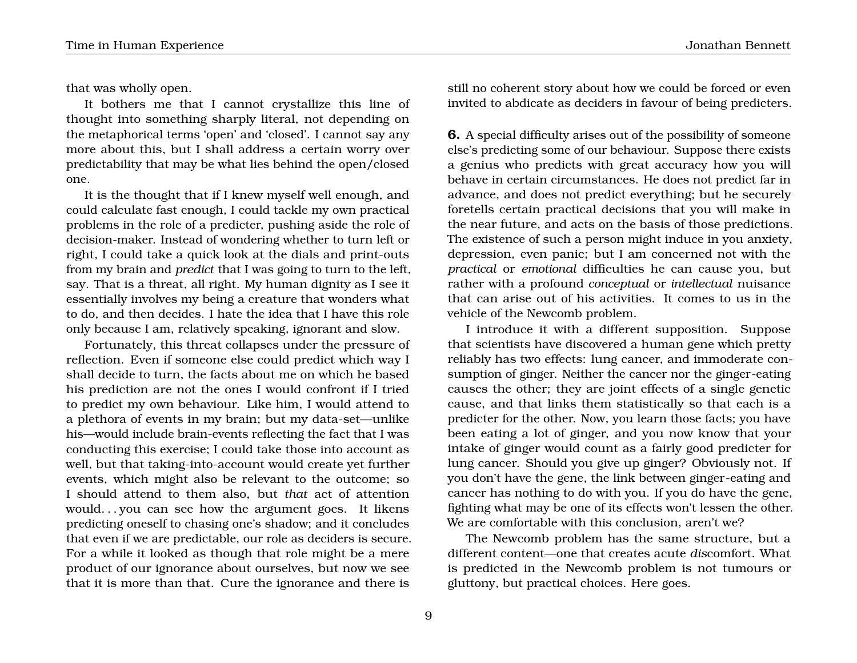that was wholly open.

It bothers me that I cannot crystallize this line of thought into something sharply literal, not depending on the metaphorical terms 'open' and 'closed'. I cannot say any more about this, but I shall address a certain worry over predictability that may be what lies behind the open/closed one.

It is the thought that if I knew myself well enough, and could calculate fast enough, I could tackle my own practical problems in the role of a predicter, pushing aside the role of decision-maker. Instead of wondering whether to turn left or right, I could take a quick look at the dials and print-outs from my brain and *predict* that I was going to turn to the left, say. That is a threat, all right. My human dignity as I see it essentially involves my being a creature that wonders what to do, and then decides. I hate the idea that I have this role only because I am, relatively speaking, ignorant and slow.

Fortunately, this threat collapses under the pressure of reflection. Even if someone else could predict which way I shall decide to turn, the facts about me on which he based his prediction are not the ones I would confront if I tried to predict my own behaviour. Like him, I would attend to a plethora of events in my brain; but my data-set—unlike his—would include brain-events reflecting the fact that I was conducting this exercise; I could take those into account as well, but that taking-into-account would create yet further events, which might also be relevant to the outcome; so I should attend to them also, but *that* act of attention would. . . you can see how the argument goes. It likens predicting oneself to chasing one's shadow; and it concludes that even if we are predictable, our role as deciders is secure. For a while it looked as though that role might be a mere product of our ignorance about ourselves, but now we see that it is more than that. Cure the ignorance and there is

still no coherent story about how we could be forced or even invited to abdicate as deciders in favour of being predicters.

**6.** A special difficulty arises out of the possibility of someone else's predicting some of our behaviour. Suppose there exists a genius who predicts with great accuracy how you will behave in certain circumstances. He does not predict far in advance, and does not predict everything; but he securely foretells certain practical decisions that you will make in the near future, and acts on the basis of those predictions. The existence of such a person might induce in you anxiety, depression, even panic; but I am concerned not with the *practical* or *emotional* difficulties he can cause you, but rather with a profound *conceptual* or *intellectual* nuisance that can arise out of his activities. It comes to us in the vehicle of the Newcomb problem.

I introduce it with a different supposition. Suppose that scientists have discovered a human gene which pretty reliably has two effects: lung cancer, and immoderate consumption of ginger. Neither the cancer nor the ginger-eating causes the other; they are joint effects of a single genetic cause, and that links them statistically so that each is a predicter for the other. Now, you learn those facts; you have been eating a lot of ginger, and you now know that your intake of ginger would count as a fairly good predicter for lung cancer. Should you give up ginger? Obviously not. If you don't have the gene, the link between ginger-eating and cancer has nothing to do with you. If you do have the gene, fighting what may be one of its effects won't lessen the other. We are comfortable with this conclusion, aren't we?

The Newcomb problem has the same structure, but a different content—one that creates acute *dis*comfort. What is predicted in the Newcomb problem is not tumours or gluttony, but practical choices. Here goes.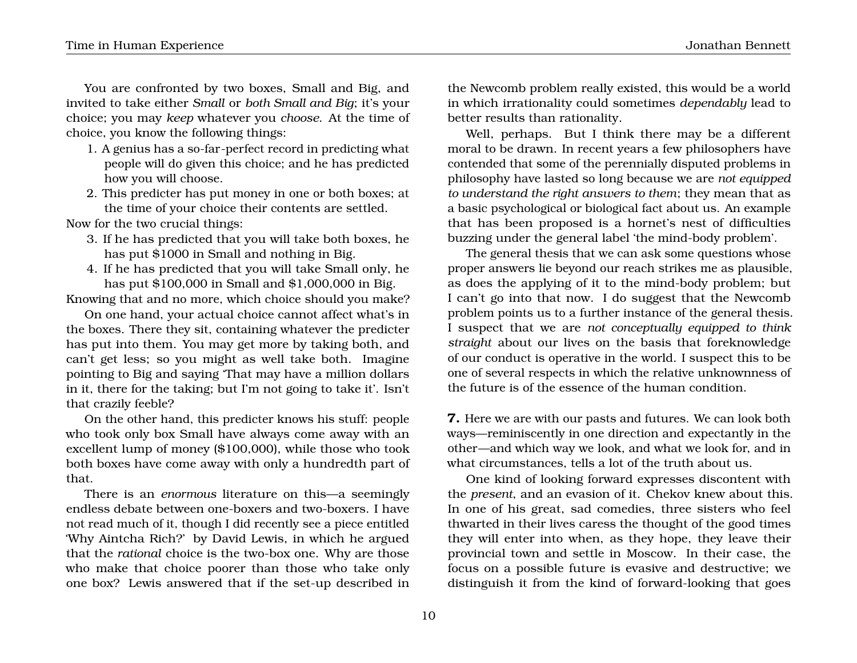You are confronted by two boxes, Small and Big, and invited to take either *Small* or *both Small and Big*; it's your choice; you may *keep* whatever you *choose*. At the time of choice, you know the following things:

- 1. A genius has a so-far-perfect record in predicting what people will do given this choice; and he has predicted how you will choose.
- 2. This predicter has put money in one or both boxes; at the time of your choice their contents are settled.

Now for the two crucial things:

- 3. If he has predicted that you will take both boxes, he has put \$1000 in Small and nothing in Big.
- 4. If he has predicted that you will take Small only, he has put \$100,000 in Small and \$1,000,000 in Big.

Knowing that and no more, which choice should you make?

On one hand, your actual choice cannot affect what's in the boxes. There they sit, containing whatever the predicter has put into them. You may get more by taking both, and can't get less; so you might as well take both. Imagine pointing to Big and saying 'That may have a million dollars in it, there for the taking; but I'm not going to take it'. Isn't that crazily feeble?

On the other hand, this predicter knows his stuff: people who took only box Small have always come away with an excellent lump of money (\$100,000), while those who took both boxes have come away with only a hundredth part of that.

There is an *enormous* literature on this—a seemingly endless debate between one-boxers and two-boxers. I have not read much of it, though I did recently see a piece entitled 'Why Aintcha Rich?' by David Lewis, in which he argued that the *rational* choice is the two-box one. Why are those who make that choice poorer than those who take only one box? Lewis answered that if the set-up described in

the Newcomb problem really existed, this would be a world in which irrationality could sometimes *dependably* lead to better results than rationality.

Well, perhaps. But I think there may be a different moral to be drawn. In recent years a few philosophers have contended that some of the perennially disputed problems in philosophy have lasted so long because we are *not equipped to understand the right answers to them*; they mean that as a basic psychological or biological fact about us. An example that has been proposed is a hornet's nest of difficulties buzzing under the general label 'the mind-body problem'.

The general thesis that we can ask some questions whose proper answers lie beyond our reach strikes me as plausible, as does the applying of it to the mind-body problem; but I can't go into that now. I do suggest that the Newcomb problem points us to a further instance of the general thesis. I suspect that we are *not conceptually equipped to think straight* about our lives on the basis that foreknowledge of our conduct is operative in the world. I suspect this to be one of several respects in which the relative unknownness of the future is of the essence of the human condition.

**7.** Here we are with our pasts and futures. We can look both ways—reminiscently in one direction and expectantly in the other—and which way we look, and what we look for, and in what circumstances, tells a lot of the truth about us.

One kind of looking forward expresses discontent with the *present*, and an evasion of it. Chekov knew about this. In one of his great, sad comedies, three sisters who feel thwarted in their lives caress the thought of the good times they will enter into when, as they hope, they leave their provincial town and settle in Moscow. In their case, the focus on a possible future is evasive and destructive; we distinguish it from the kind of forward-looking that goes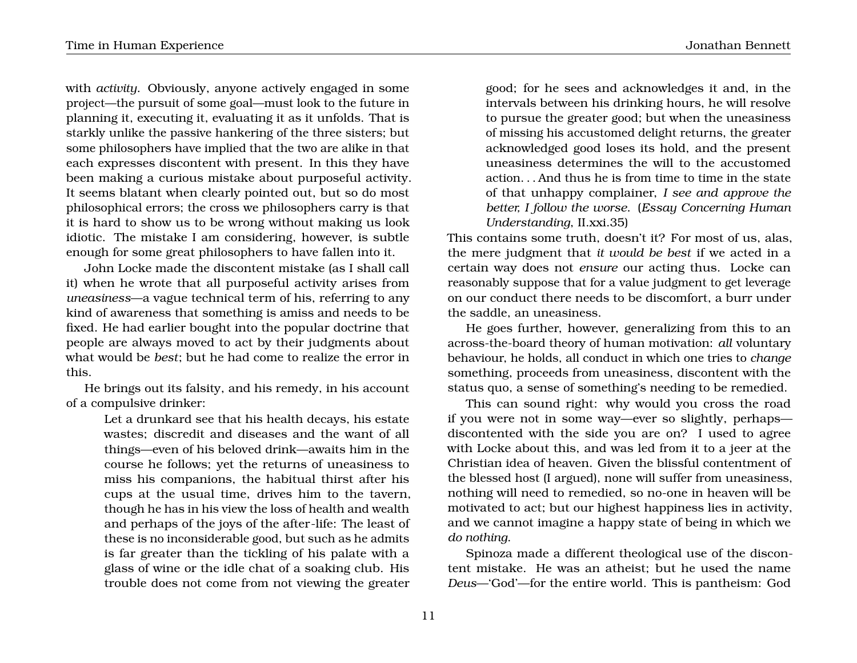with *activity*. Obviously, anyone actively engaged in some project—the pursuit of some goal—must look to the future in planning it, executing it, evaluating it as it unfolds. That is starkly unlike the passive hankering of the three sisters; but some philosophers have implied that the two are alike in that each expresses discontent with present. In this they have been making a curious mistake about purposeful activity. It seems blatant when clearly pointed out, but so do most philosophical errors; the cross we philosophers carry is that it is hard to show us to be wrong without making us look idiotic. The mistake I am considering, however, is subtle enough for some great philosophers to have fallen into it.

John Locke made the discontent mistake (as I shall call it) when he wrote that all purposeful activity arises from *uneasiness*—a vague technical term of his, referring to any kind of awareness that something is amiss and needs to be fixed. He had earlier bought into the popular doctrine that people are always moved to act by their judgments about what would be *best*; but he had come to realize the error in this.

He brings out its falsity, and his remedy, in his account of a compulsive drinker:

> Let a drunkard see that his health decays, his estate wastes; discredit and diseases and the want of all things—even of his beloved drink—awaits him in the course he follows; yet the returns of uneasiness to miss his companions, the habitual thirst after his cups at the usual time, drives him to the tavern, though he has in his view the loss of health and wealth and perhaps of the joys of the after-life: The least of these is no inconsiderable good, but such as he admits is far greater than the tickling of his palate with a glass of wine or the idle chat of a soaking club. His trouble does not come from not viewing the greater

good; for he sees and acknowledges it and, in the intervals between his drinking hours, he will resolve to pursue the greater good; but when the uneasiness of missing his accustomed delight returns, the greater acknowledged good loses its hold, and the present uneasiness determines the will to the accustomed action. . . And thus he is from time to time in the state of that unhappy complainer, *I see and approve the better, I follow the worse*. (*Essay Concerning Human Understanding*, II.xxi.35)

This contains some truth, doesn't it? For most of us, alas, the mere judgment that *it would be best* if we acted in a certain way does not *ensure* our acting thus. Locke can reasonably suppose that for a value judgment to get leverage on our conduct there needs to be discomfort, a burr under the saddle, an uneasiness.

He goes further, however, generalizing from this to an across-the-board theory of human motivation: *all* voluntary behaviour, he holds, all conduct in which one tries to *change* something, proceeds from uneasiness, discontent with the status quo, a sense of something's needing to be remedied.

This can sound right: why would you cross the road if you were not in some way—ever so slightly, perhaps discontented with the side you are on? I used to agree with Locke about this, and was led from it to a jeer at the Christian idea of heaven. Given the blissful contentment of the blessed host (I argued), none will suffer from uneasiness, nothing will need to remedied, so no-one in heaven will be motivated to act; but our highest happiness lies in activity, and we cannot imagine a happy state of being in which we *do nothing*.

Spinoza made a different theological use of the discontent mistake. He was an atheist; but he used the name *Deus*—'God'—for the entire world. This is pantheism: God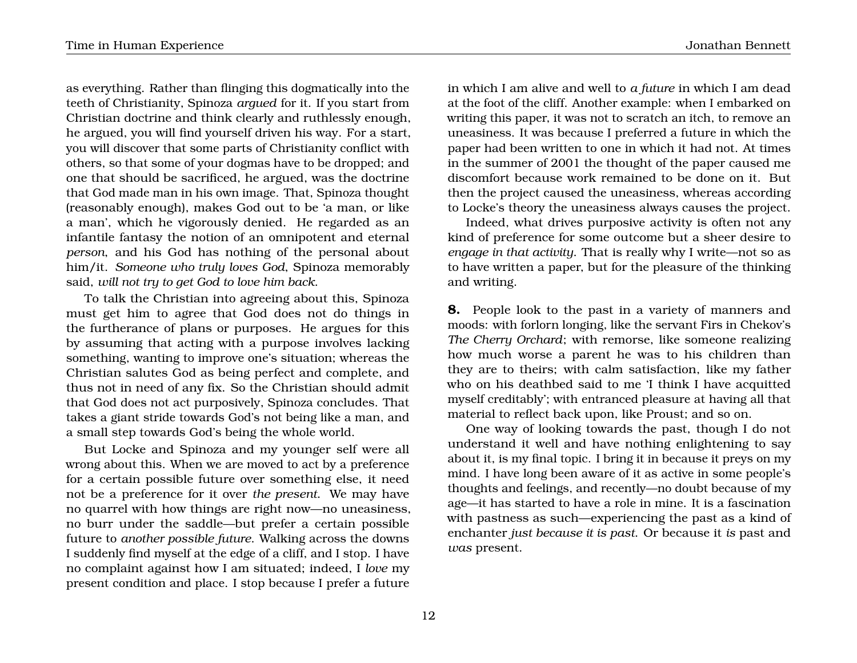as everything. Rather than flinging this dogmatically into the teeth of Christianity, Spinoza *argued* for it. If you start from Christian doctrine and think clearly and ruthlessly enough, he argued, you will find yourself driven his way. For a start, you will discover that some parts of Christianity conflict with others, so that some of your dogmas have to be dropped; and one that should be sacrificed, he argued, was the doctrine that God made man in his own image. That, Spinoza thought (reasonably enough), makes God out to be 'a man, or like a man', which he vigorously denied. He regarded as an infantile fantasy the notion of an omnipotent and eternal *person*, and his God has nothing of the personal about him/it. *Someone who truly loves God*, Spinoza memorably said, *will not try to get God to love him back*.

To talk the Christian into agreeing about this, Spinoza must get him to agree that God does not do things in the furtherance of plans or purposes. He argues for this by assuming that acting with a purpose involves lacking something, wanting to improve one's situation; whereas the Christian salutes God as being perfect and complete, and thus not in need of any fix. So the Christian should admit that God does not act purposively, Spinoza concludes. That takes a giant stride towards God's not being like a man, and a small step towards God's being the whole world.

But Locke and Spinoza and my younger self were all wrong about this. When we are moved to act by a preference for a certain possible future over something else, it need not be a preference for it over *the present*. We may have no quarrel with how things are right now—no uneasiness, no burr under the saddle—but prefer a certain possible future to *another possible future*. Walking across the downs I suddenly find myself at the edge of a cliff, and I stop. I have no complaint against how I am situated; indeed, I *love* my present condition and place. I stop because I prefer a future

in which I am alive and well to *a future* in which I am dead at the foot of the cliff. Another example: when I embarked on writing this paper, it was not to scratch an itch, to remove an uneasiness. It was because I preferred a future in which the paper had been written to one in which it had not. At times in the summer of 2001 the thought of the paper caused me discomfort because work remained to be done on it. But then the project caused the uneasiness, whereas according to Locke's theory the uneasiness always causes the project.

Indeed, what drives purposive activity is often not any kind of preference for some outcome but a sheer desire to *engage in that activity*. That is really why I write—not so as to have written a paper, but for the pleasure of the thinking and writing.

**8.** People look to the past in a variety of manners and moods: with forlorn longing, like the servant Firs in Chekov's *The Cherry Orchard*; with remorse, like someone realizing how much worse a parent he was to his children than they are to theirs; with calm satisfaction, like my father who on his deathbed said to me 'I think I have acquitted myself creditably'; with entranced pleasure at having all that material to reflect back upon, like Proust; and so on.

One way of looking towards the past, though I do not understand it well and have nothing enlightening to say about it, is my final topic. I bring it in because it preys on my mind. I have long been aware of it as active in some people's thoughts and feelings, and recently—no doubt because of my age—it has started to have a role in mine. It is a fascination with pastness as such—experiencing the past as a kind of enchanter *just because it is past*. Or because it *is* past and *was* present.